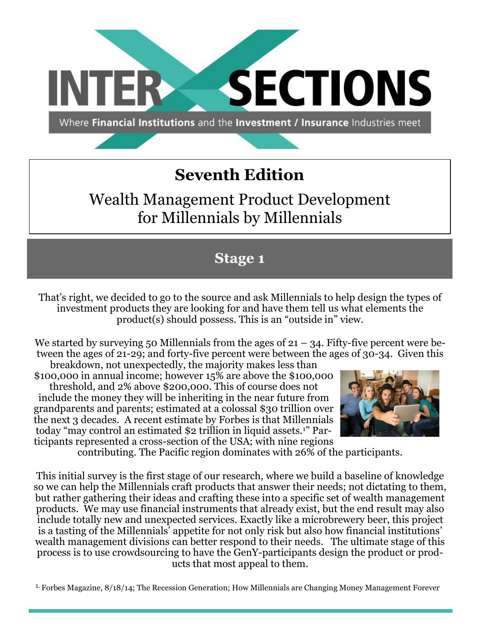

# **Seventh Edition**

# Wealth Management Product Development for Millennials by Millennials

### **Stage 1**

That's right, we decided to go to the source and ask Millennials to help design the types of investment products they are looking for and have them tell us what elements the product(s) should possess. This is an "outside in" view.

We started by surveying 50 Millennials from the ages of  $21 - 34$ . Fifty-five percent were between the ages of 21-29; and forty-five percent were between the ages of 30-34. Given this breakdown, not unexpectedly, the majority makes less than

\$100,000 in annual income; however 15% are above the \$100,000 threshold, and 2% above \$200,000. This of course does not include the money they will be inheriting in the near future from grandparents and parents; estimated at a colossal \$30 trillion over the next 3 decades. A recent estimate by Forbes is that Millennials today "may control an estimated \$2 trillion in liquid assets.1" Participants represented a cross-section of the USA; with nine regions



contributing. The Pacific region dominates with 26% of the participants.

This initial survey is the first stage of our research, where we build a baseline of knowledge so we can help the Millennials craft products that answer their needs; not dictating to them, but rather gathering their ideas and crafting these into a specific set of wealth management products. We may use financial instruments that already exist, but the end result may also include totally new and unexpected services. Exactly like a microbrewery beer, this project is a tasting of the Millennials' appetite for not only risk but also how financial institutions' wealth management divisions can better respond to their needs. The ultimate stage of this process is to use crowdsourcing to have the GenY-participants design the product or products that most appeal to them.

1. Forbes Magazine, 8/18/14; The Recession Generation; How Millennials are Changing Money Management Forever